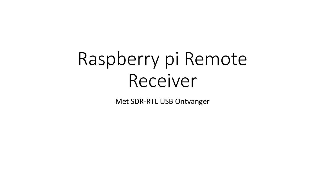# Raspberry pi Remote Receiver

Met SDR-RTL USB Ontvanger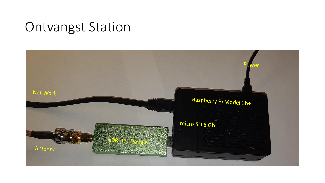### Ontvangst Station

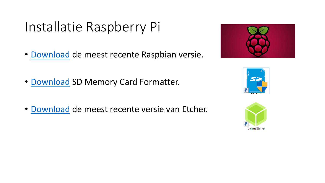- [Download](https://www.raspberrypi.org/downloads/raspbian/) de meest recente Raspbian versie.
- [Download](https://www.sdcard.org/downloads/formatter/) SD Memory Card Formatter.
- [Download](https://raspberrytips.nl/etcher-diskimages-terugplaatsen-sd-kaart/) de meest recente versie van Etcher.





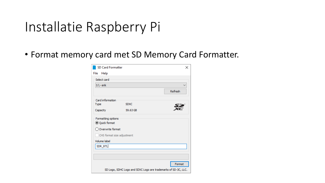• Format memory card met SD Memory Card Formatter.

| SD Card Formatter                         |                                                                | ×       |
|-------------------------------------------|----------------------------------------------------------------|---------|
| File<br>Help                              |                                                                |         |
| Select card                               |                                                                |         |
| $I:\$ - erik                              |                                                                |         |
|                                           |                                                                | Refresh |
| Card information                          |                                                                |         |
| <b>Type</b>                               | <b>SDXC</b>                                                    |         |
| Capacity                                  | 59.63 GB                                                       |         |
| Formatting options<br><b>Quick format</b> |                                                                |         |
| O Overwrite format                        |                                                                |         |
| CHS format size adjustment                |                                                                |         |
| Volume label                              |                                                                |         |
| SDR_RTL                                   |                                                                |         |
|                                           |                                                                |         |
|                                           |                                                                |         |
|                                           |                                                                | Format  |
|                                           | SD Logo, SDHC Logo and SDXC Logo are trademarks of SD-3C, LLC. |         |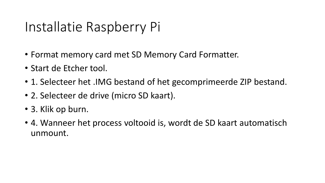- Format memory card met SD Memory Card Formatter.
- Start de Etcher tool.
- 1. Selecteer het .IMG bestand of het gecomprimeerde ZIP bestand.
- 2. Selecteer de drive (micro SD kaart).
- 3. Klik op burn.
- 4. Wanneer het process voltooid is, wordt de SD kaart automatisch unmount.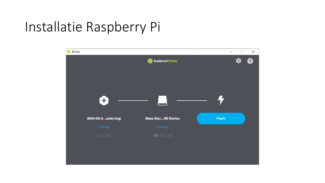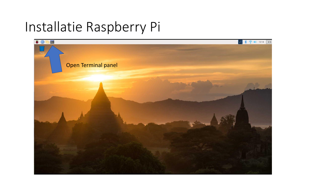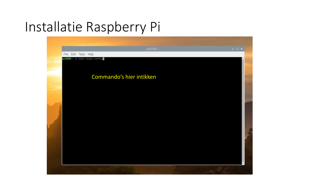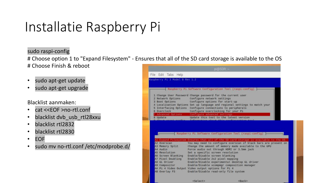#### sudo raspi-config

# Choose option 1 to "Expand Filesystem" - Ensures that all of the SD card storage is available to the OS # Choose Finish & reboot

- sudo apt-get update
- sudo apt-get upgrade

#### Blacklist aanmaken:

- cat <<EOF >no-rtl.conf
- blacklist dvb usb rtl28xxu
- blacklist rtl2832
- blacklist rtl2830
- EOF
- sudo mv no-rtl.conf /etc/modprobe.d/

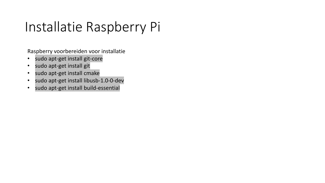Raspberry voorbereiden voor installatie

- sudo apt-get install git-core
- sudo apt-get install git
- sudo apt-get install cmake
- sudo apt-get install libusb-1.0-0-dev
- sudo apt-get install build-essential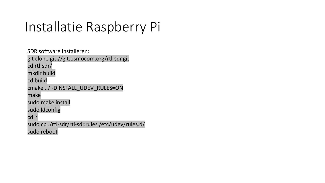SDR software installeren: git clone git://git.osmocom.org/rtl-sdr.git cd rtl-sdr/ mkdir build cd build cmake ../ -DINSTALL\_UDEV\_RULES=ON make sudo make install sudo ldconfig  $cd \sim$ sudo cp ./rtl-sdr/rtl-sdr.rules /etc/udev/rules.d/ sudo reboot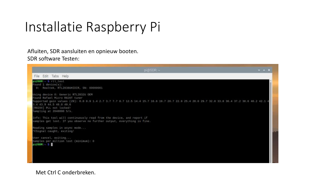Installatie Raspberry Pi

Afluiten, SDR aansluiten en opnieuw booten. SDR software Testen:

| $pi@SDR$ ~                                                                                                                                                                                                                                                                                                 | V A X |  |
|------------------------------------------------------------------------------------------------------------------------------------------------------------------------------------------------------------------------------------------------------------------------------------------------------------|-------|--|
| Edit Tabs Help<br>File                                                                                                                                                                                                                                                                                     |       |  |
| $pi@SDR - S$ rtl test<br>Found $1$ device(s):<br>0: Realtek, RTL2838UHIDIR, SN: 00000001                                                                                                                                                                                                                   |       |  |
| Using device 0: Generic RTL2832U OEM<br>Found Rafael Micro R820T tuner<br>Supported gain values (29): 0.0 0.9 1.4 2.7 3.7 7.7 8.7 12.5 14.4 15.7 16.6 19.7 20.7 22.9 25.4 28.0 29.7 32.8 33.8 36.4 37.2 38.6 40.2 42.1 4<br>3.4 43.9 44.5 48.0 49.6<br>[R82XX] PLL not locked!<br>Sampling at 2048000 S/s. |       |  |
| Info: This tool will continuously read from the device, and report if<br>samples get lost. If you observe no further output, everything is fine.                                                                                                                                                           |       |  |
| Reading samples in async mode<br>ACSignal caught, exiting!                                                                                                                                                                                                                                                 |       |  |
| User cancel, exiting<br>Samples per million lost (minimum): 0<br>$pi@SDR - S$                                                                                                                                                                                                                              |       |  |

Met Ctrl C onderbreken.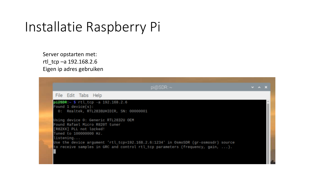Server opstarten met: rtl\_tcp –a 192.168.2.6 Eigen ip adres gebruiken

| pi@SDR:~                                                                                                                                                                        | $\vee$ $\wedge$ X |  |
|---------------------------------------------------------------------------------------------------------------------------------------------------------------------------------|-------------------|--|
| File Edit Tabs Help                                                                                                                                                             |                   |  |
| pi@SDR:~ \$ rtl_tcp -a 192.168.2.6<br>Found 1 device(s):<br>0: Realtek, RTL2838UHIDIR, SN: 00000001                                                                             |                   |  |
| Using device 0: Generic RTL2832U OEM<br>Found Rafael Micro R820T tuner<br>[R82XX] PLL not locked!<br>Tuned to 100000000 Hz.                                                     |                   |  |
| listening<br>Use the device argument 'rtl_tcp=192.168.2.6:1234' in OsmoSDR (gr-osmosdr) source<br>to receive samples in GRC and control rtl_tcp parameters (frequency, gain, ). |                   |  |
|                                                                                                                                                                                 |                   |  |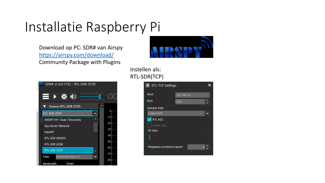Download op PC: SDR# van Airspy <https://airspy.com/download/> Community Package with Plugins





Instellen als: RTL-SDR(TCP)

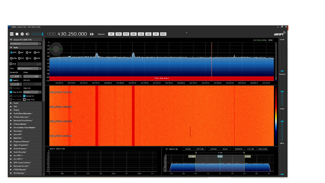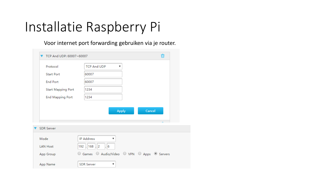Voor internet port forwarding gebruiken via je router.

|                           | û                                            |
|---------------------------|----------------------------------------------|
| Protocol                  | <b>TCP And UDP</b><br>▼                      |
| <b>Start Port</b>         | 60007                                        |
| <b>End Port</b>           | 60007                                        |
| <b>Start Mapping Port</b> | 1234                                         |
| <b>End Mapping Port</b>   | 1234                                         |
|                           | Cancel<br><b>Apply</b>                       |
|                           |                                              |
| <b>SDR Server</b>         |                                              |
| Mode                      | <b>IP Address</b><br>▼                       |
| <b>LAN Host</b>           | 192, 168, 2<br>6                             |
| App Group                 | ○ Games ○ Audio/Video ○ VPN ○ Apps ● Servers |